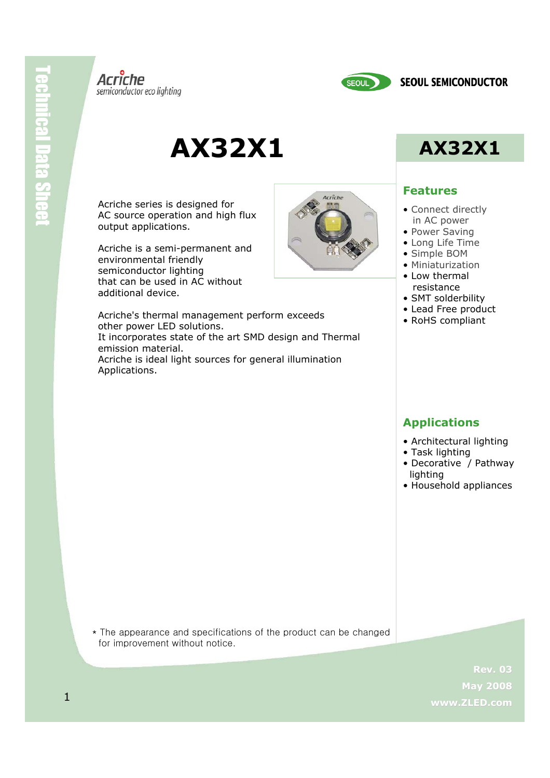



# **AX32X1 AX32X1**

Acriche series is designed for AC source operation and high flux output applications.

Acriche is a semi-permanent and environmental friendly semiconductor lighting that can be used in AC without additional device.

Acriche's thermal management perform exceeds other power LED solutions. It incorporates state of the art SMD design and Thermal emission material. Acriche is ideal light sources for general illumination Applications.



### **Features**

- Connect directly in AC power
- Power Saving
- Long Life Time
- Simple BOM
- Miniaturization
- Low thermal resistance
- SMT solderbility
- Lead Free product
- RoHS compliant

### **Applications**

- Architectural lighting
- Task lighting
- Decorative / Pathway lighting
- Household appliances

\* The appearance and specifications of the product can be changed for improvement without notice.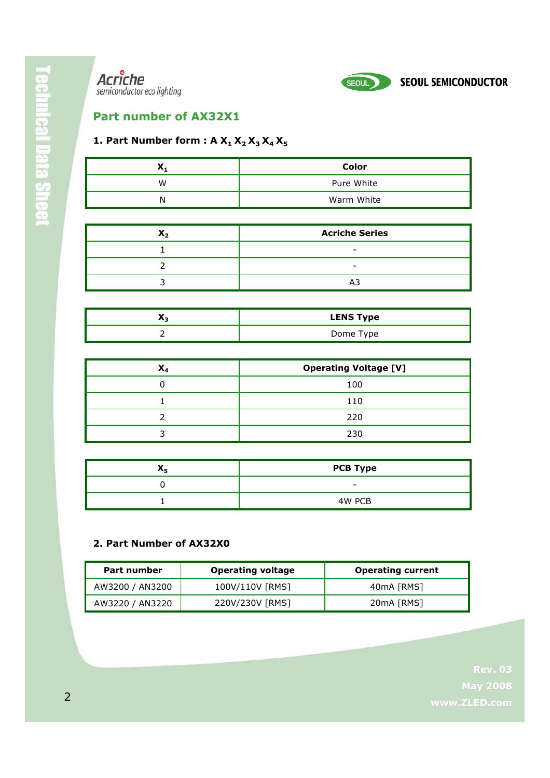



## **Part number of AX32X1**

### **1. Part Number form : A**  $X_1 X_2 X_3 X_4 X_5$

| ~ | Color      |
|---|------------|
| w | Pure White |
|   | Warm White |

| <b>Acriche Series</b> |  |  |  |  |
|-----------------------|--|--|--|--|
|                       |  |  |  |  |
|                       |  |  |  |  |
|                       |  |  |  |  |

| $\cdots$ | <b>LENS Type</b> |
|----------|------------------|
|          | Dome Type        |

| л | <b>Operating Voltage [V]</b> |  |  |  |  |  |
|---|------------------------------|--|--|--|--|--|
|   | 100                          |  |  |  |  |  |
|   | 110                          |  |  |  |  |  |
|   | 220                          |  |  |  |  |  |
|   | 230                          |  |  |  |  |  |

| <b>PCB Type</b> |  |  |  |
|-----------------|--|--|--|
| -               |  |  |  |
| 4W PCB          |  |  |  |

#### **2. Part Number of AX32X0**

| Part number     | <b>Operating voltage</b> | <b>Operating current</b> |
|-----------------|--------------------------|--------------------------|
| AW3200 / AN3200 | 100V/110V [RMS]          | 40mA [RMS]               |
| AW3220 / AN3220 | 220V/230V [RMS]          | 20mA [RMS]               |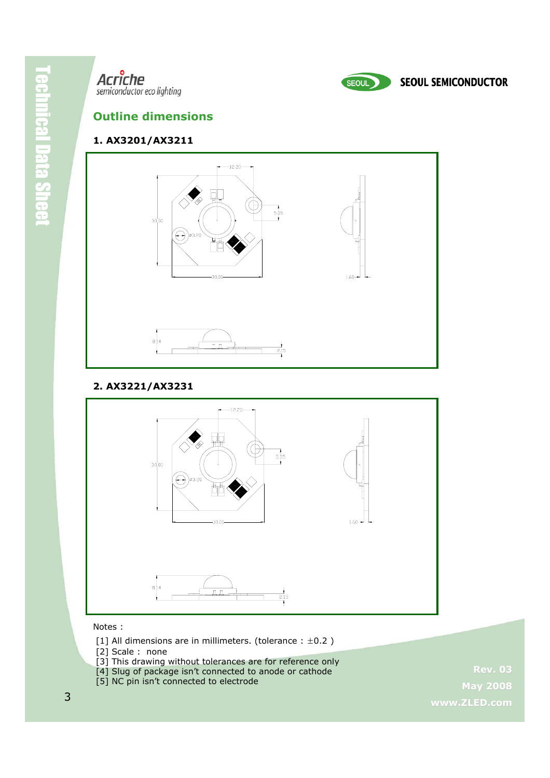

### **Outline dimensions**

#### **1. AX3201/AX3211**



#### **2. AX3221/AX3231**



#### Notes :

- [1] All dimensions are in millimeters. (tolerance  $: ±0.2$ )
- [2] Scale : none
- [3] This drawing without tolerances are for reference only
- [4] Slug of package isn't connected to anode or cathode
- [5] NC pin isn't connected to electrode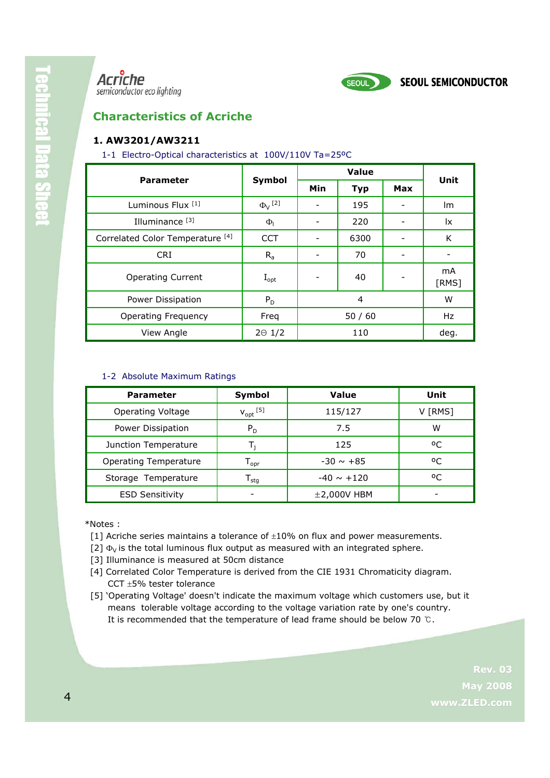

### **Characteristics of Acriche**

#### **1. AW3201/AW3211**

#### 1-1 Electro-Optical characteristics at 100V/110V Ta=25ºC

| <b>Parameter</b>                            | Symbol                    | Value |            |            | Unit                    |
|---------------------------------------------|---------------------------|-------|------------|------------|-------------------------|
|                                             |                           | Min   | <b>Typ</b> | <b>Max</b> |                         |
| Luminous Flux <sup>[1]</sup>                | $\Phi_{V}$ <sup>[2]</sup> |       | 195        |            | lm.                     |
| Illuminance <sup>[3]</sup>                  | $\Phi_{1}$                |       | 220        |            | $\mathsf{I}\mathsf{x}$  |
| Correlated Color Temperature <sup>[4]</sup> | <b>CCT</b>                | -     | 6300       |            | K                       |
| <b>CRI</b>                                  | $R_{a}$                   |       | 70         |            |                         |
| <b>Operating Current</b>                    | $I_{opt}$                 |       | 40         |            | m <sub>A</sub><br>[RMS] |
| Power Dissipation                           | $P_D$                     | 4     |            | W          |                         |
| <b>Operating Frequency</b>                  | Freq                      | 50/60 |            | Hz         |                         |
| View Angle                                  | $2\Theta$ 1/2             |       | 110        |            | deg.                    |

#### 1-2 Absolute Maximum Ratings

| <b>Parameter</b>             | Symbol                       | <b>Value</b>    | Unit       |
|------------------------------|------------------------------|-----------------|------------|
| <b>Operating Voltage</b>     | $V_{\text{opt}}$ [5]         | 115/127         | V [RMS]    |
| Power Dissipation            | $P_D$                        | 7.5             | w          |
| Junction Temperature         |                              | 125             | $^{\circ}$ |
| <b>Operating Temperature</b> | $\mathsf{T}_{\mathsf{opr}}$  | $-30 \sim +85$  | οC         |
| Storage Temperature          | ${\mathsf T}_{\textsf{stg}}$ | $-40 \sim +120$ | οC         |
| <b>ESD Sensitivity</b>       |                              | $±2,000V$ HBM   |            |

\*Notes :

- [1] Acriche series maintains a tolerance of  $\pm 10\%$  on flux and power measurements.
- [2]  $\Phi_V$  is the total luminous flux output as measured with an integrated sphere.
- [3] Illuminance is measured at 50cm distance
- [4] Correlated Color Temperature is derived from the CIE 1931 Chromaticity diagram. CCT ±5% tester tolerance
- [5] 'Operating Voltage' doesn't indicate the maximum voltage which customers use, but it means tolerable voltage according to the voltage variation rate by one's country. It is recommended that the temperature of lead frame should be below 70 ℃.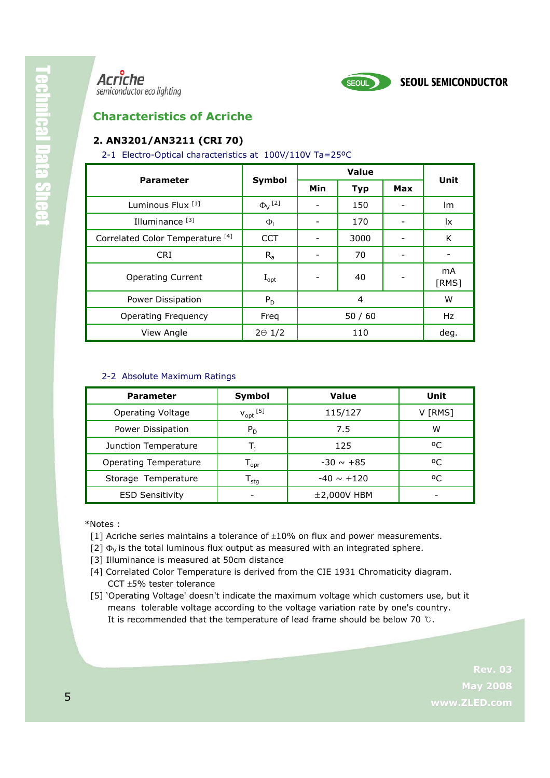

### **Characteristics of Acriche**

### **2. AN3201/AN3211 (CRI 70)**

#### 2-1 Electro-Optical characteristics at 100V/110V Ta=25ºC

| <b>Parameter</b>                            | Symbol                    | Value |            |     | Unit        |
|---------------------------------------------|---------------------------|-------|------------|-----|-------------|
|                                             |                           | Min   | <b>Typ</b> | Max |             |
| Luminous Flux [1]                           | $\Phi_{V}$ <sup>[2]</sup> |       | 150        |     | lm.         |
| Illuminance <sup>[3]</sup>                  | $\Phi$ <sub>1</sub>       |       | 170        |     | lx.         |
| Correlated Color Temperature <sup>[4]</sup> | <b>CCT</b>                |       | 3000       |     | K           |
| <b>CRI</b>                                  | $R_{a}$                   |       | 70         |     |             |
| <b>Operating Current</b>                    | $I_{opt}$                 |       | 40         |     | mA<br>[RMS] |
| Power Dissipation                           | $P_D$                     | 4     |            | W   |             |
| <b>Operating Frequency</b>                  | Freq                      | 50/60 |            | Hz  |             |
| View Angle                                  | $2\Theta$ 1/2             |       | 110        |     | deg.        |

#### 2-2 Absolute Maximum Ratings

| <b>Parameter</b>         | Symbol                      | <b>Value</b>    | Unit       |
|--------------------------|-----------------------------|-----------------|------------|
| <b>Operating Voltage</b> | $V_{opt}$ <sup>[5]</sup>    | 115/127         | V [RMS]    |
| Power Dissipation        | $P_D$                       | 7.5             | W          |
| Junction Temperature     |                             | 125             | $^{\circ}$ |
| Operating Temperature    | $\mathsf{T}_{\mathsf{opr}}$ | $-30 \sim +85$  | οC         |
| Storage Temperature      | stq                         | $-40 \sim +120$ | οC         |
| <b>ESD Sensitivity</b>   |                             | $±2,000V$ HBM   |            |

\*Notes :

- [1] Acriche series maintains a tolerance of  $\pm 10\%$  on flux and power measurements.
- [2]  $\Phi_{\rm V}$  is the total luminous flux output as measured with an integrated sphere.
- [3] Illuminance is measured at 50cm distance
- [4] Correlated Color Temperature is derived from the CIE 1931 Chromaticity diagram. CCT ±5% tester tolerance
- [5] 'Operating Voltage' doesn't indicate the maximum voltage which customers use, but it means tolerable voltage according to the voltage variation rate by one's country. It is recommended that the temperature of lead frame should be below 70 ℃.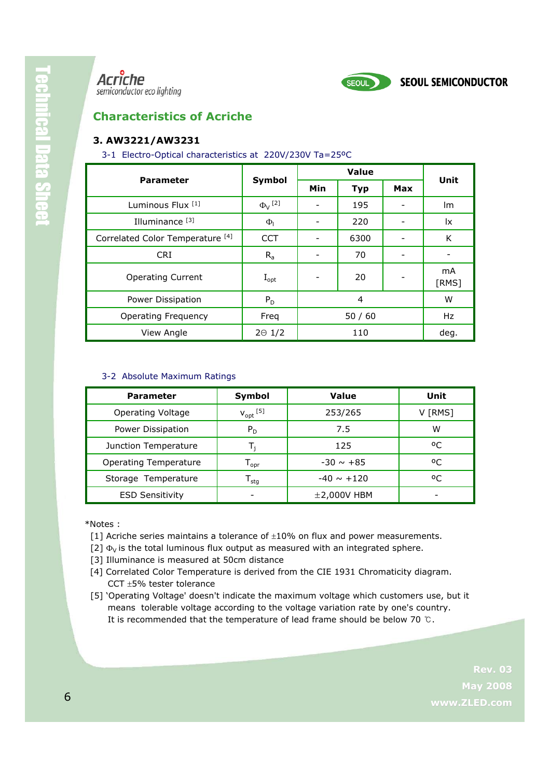

### **Characteristics of Acriche**

#### **3. AW3221/AW3231**

#### 3-1 Electro-Optical characteristics at 220V/230V Ta=25ºC

| <b>Parameter</b>                            | Symbol                    | Value |            |            | Unit                    |
|---------------------------------------------|---------------------------|-------|------------|------------|-------------------------|
|                                             |                           | Min   | <b>Typ</b> | <b>Max</b> |                         |
| Luminous Flux <sup>[1]</sup>                | $\Phi_{V}$ <sup>[2]</sup> |       | 195        |            | lm.                     |
| Illuminance <sup>[3]</sup>                  | $\Phi_{1}$                |       | 220        |            | <u>lx</u>               |
| Correlated Color Temperature <sup>[4]</sup> | <b>CCT</b>                |       | 6300       |            | K                       |
| <b>CRI</b>                                  | $R_{a}$                   |       | 70         |            |                         |
| <b>Operating Current</b>                    | $I_{opt}$                 |       | 20         |            | m <sub>A</sub><br>[RMS] |
| Power Dissipation                           | $P_D$                     | 4     |            | W          |                         |
| <b>Operating Frequency</b>                  | Freq                      | 50/60 |            | Hz         |                         |
| View Angle                                  | $2\Theta$ 1/2             |       | 110        |            | deg.                    |

#### 3-2 Absolute Maximum Ratings

| <b>Parameter</b>         | Symbol                           | Value           | Unit       |
|--------------------------|----------------------------------|-----------------|------------|
| <b>Operating Voltage</b> | $V_{opt}$ <sup>[5]</sup>         | 253/265         | V [RMS]    |
| Power Dissipation        | $P_D$                            | 7.5             | W          |
| Junction Temperature     | т,                               | 125             | $^{\circ}$ |
| Operating Temperature    | $\mathsf{\Gamma}_{\mathsf{opr}}$ | $-30 \sim +85$  | οC         |
| Storage Temperature      | stq                              | $-40 \sim +120$ | οC         |
| <b>ESD Sensitivity</b>   |                                  | $±2,000V$ HBM   |            |

\*Notes :

- [1] Acriche series maintains a tolerance of  $\pm 10\%$  on flux and power measurements.
- [2]  $\Phi_V$  is the total luminous flux output as measured with an integrated sphere.
- [3] Illuminance is measured at 50cm distance
- [4] Correlated Color Temperature is derived from the CIE 1931 Chromaticity diagram. CCT ±5% tester tolerance
- [5] 'Operating Voltage' doesn't indicate the maximum voltage which customers use, but it means tolerable voltage according to the voltage variation rate by one's country. It is recommended that the temperature of lead frame should be below 70 ℃.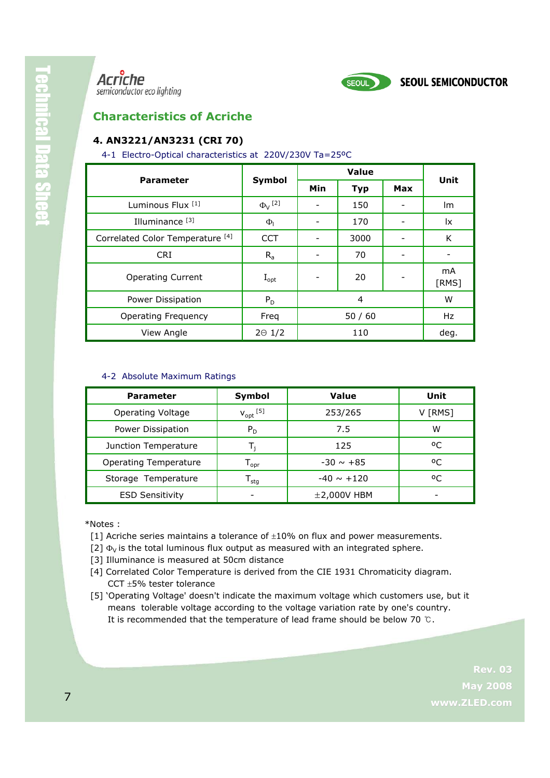

SEOUL

### **Characteristics of Acriche**

#### **4. AN3221/AN3231 (CRI 70)**

#### 4-1 Electro-Optical characteristics at 220V/230V Ta=25ºC

| <b>Parameter</b>                            | Symbol                    | Value |            |            | Unit        |
|---------------------------------------------|---------------------------|-------|------------|------------|-------------|
|                                             |                           | Min   | <b>Typ</b> | <b>Max</b> |             |
| Luminous Flux <sup>[1]</sup>                | $\Phi_{V}$ <sup>[2]</sup> |       | 150        |            | lm.         |
| Illuminance <sup>[3]</sup>                  | $\Phi_{1}$                |       | 170        |            | <u>lx</u>   |
| Correlated Color Temperature <sup>[4]</sup> | <b>CCT</b>                |       | 3000       |            | K           |
| <b>CRI</b>                                  | $R_{a}$                   |       | 70         |            |             |
| <b>Operating Current</b>                    | $I_{opt}$                 |       | 20         |            | mA<br>[RMS] |
| Power Dissipation                           | $P_D$                     | 4     |            | W          |             |
| <b>Operating Frequency</b>                  | Freq                      | 50/60 |            | Hz         |             |
| View Angle                                  | $2\Theta$ 1/2             | 110   |            | deg.       |             |

#### 4-2 Absolute Maximum Ratings

| <b>Parameter</b>         | Symbol                           | Value           | Unit       |
|--------------------------|----------------------------------|-----------------|------------|
| <b>Operating Voltage</b> | $V_{opt}$ <sup>[5]</sup>         | 253/265         | V [RMS]    |
| Power Dissipation        | $P_D$                            | 7.5             | W          |
| Junction Temperature     | т,                               | 125             | $^{\circ}$ |
| Operating Temperature    | $\mathsf{\Gamma}_{\mathsf{opr}}$ | $-30 \sim +85$  | οC         |
| Storage Temperature      | stq                              | $-40 \sim +120$ | οC         |
| <b>ESD Sensitivity</b>   |                                  | $±2,000V$ HBM   |            |

\*Notes :

- [1] Acriche series maintains a tolerance of  $\pm 10\%$  on flux and power measurements.
- [2]  $\Phi_{\rm V}$  is the total luminous flux output as measured with an integrated sphere.
- [3] Illuminance is measured at 50cm distance
- [4] Correlated Color Temperature is derived from the CIE 1931 Chromaticity diagram. CCT ±5% tester tolerance
- [5] 'Operating Voltage' doesn't indicate the maximum voltage which customers use, but it means tolerable voltage according to the voltage variation rate by one's country. It is recommended that the temperature of lead frame should be below 70 ℃.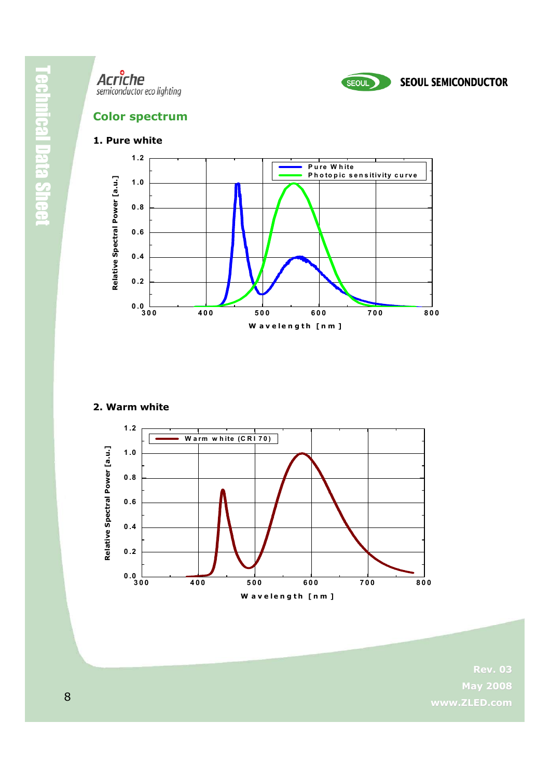



### **Color spectrum**

#### **1. Pure white**



#### **2. Warm white**

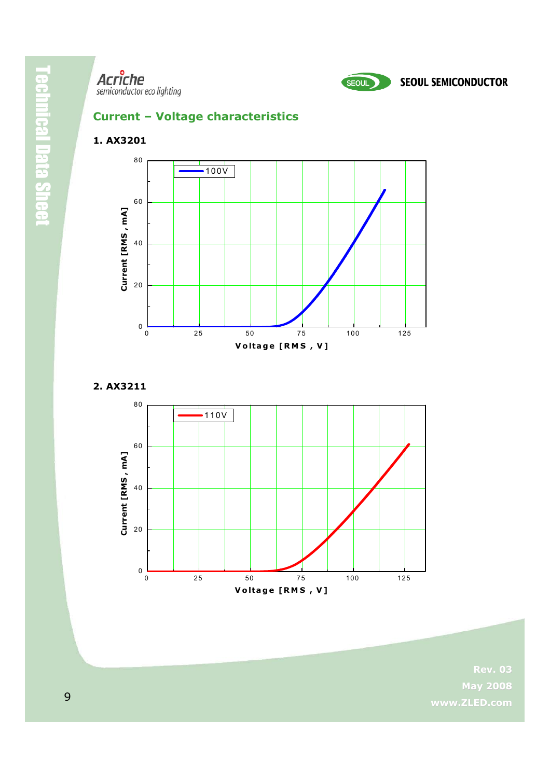



### **Current – Voltage characteristics**

### **1. AX3201**



**2. AX3211**

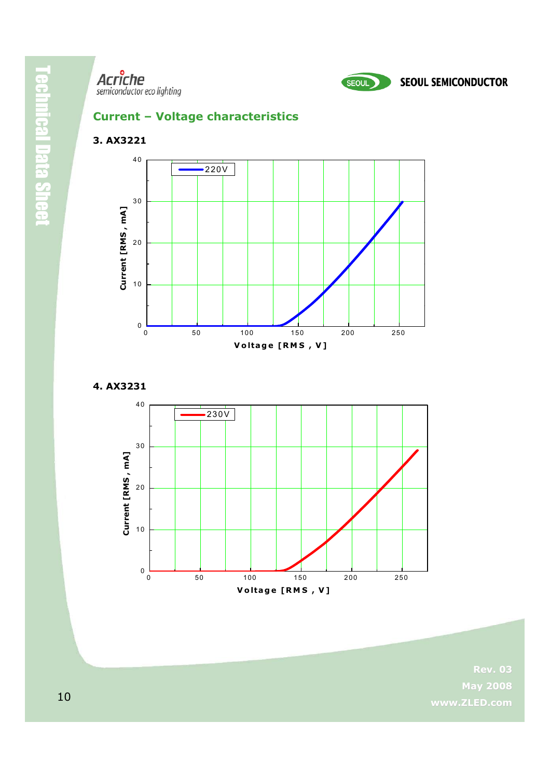



### **Current – Voltage characteristics**

#### **3. AX3221**



**4. AX3231**

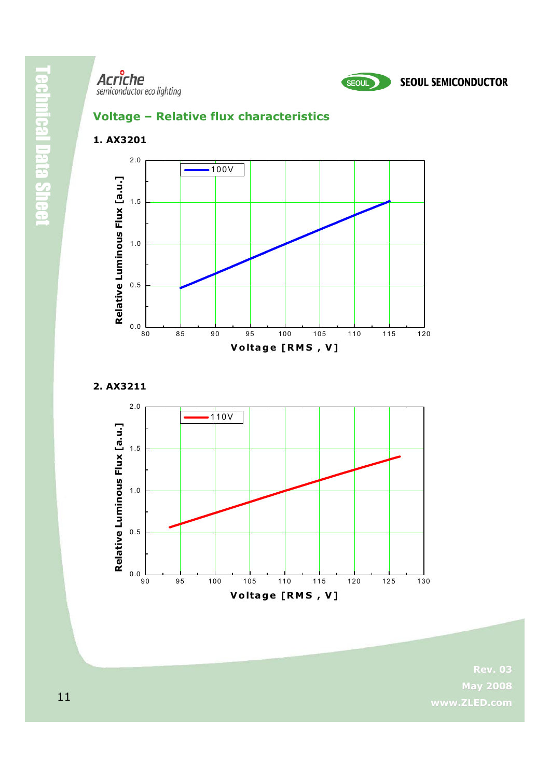

### **Voltage – Relative flux characteristics**

**1. AX3201**



**2. AX3211**

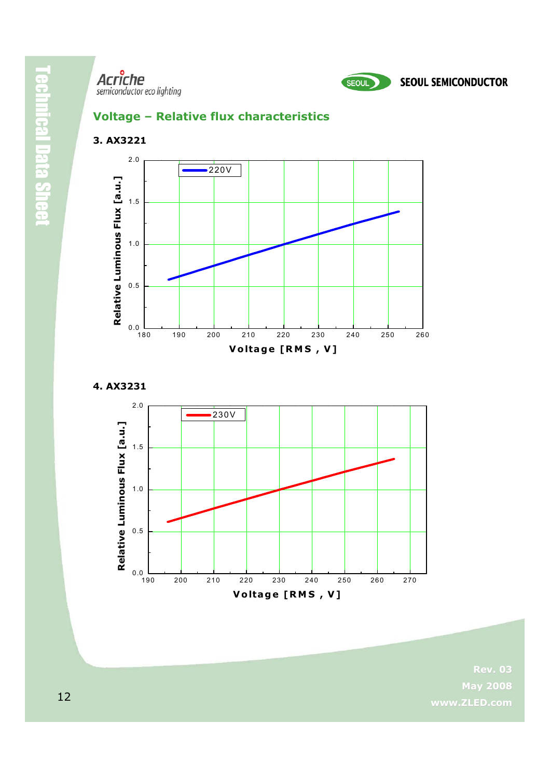

### **Voltage – Relative flux characteristics**

**3. AX3221**





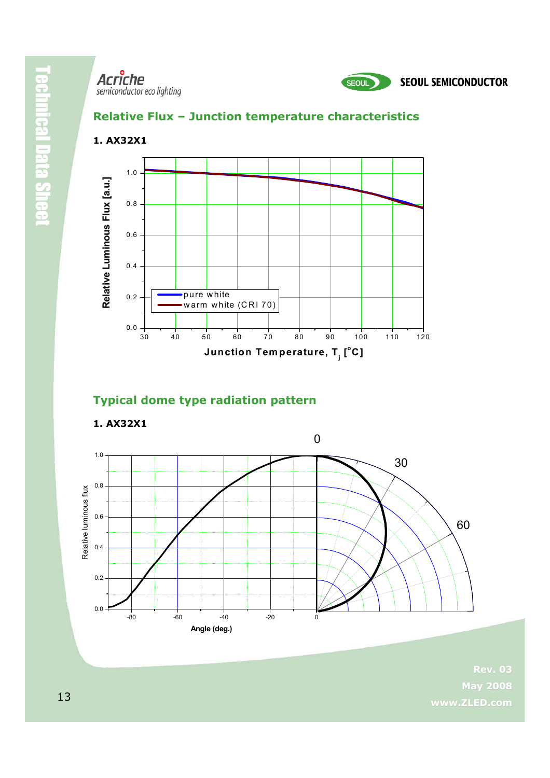

### **Relative Flux – Junction temperature characteristics**



### **Typical dome type radiation pattern**



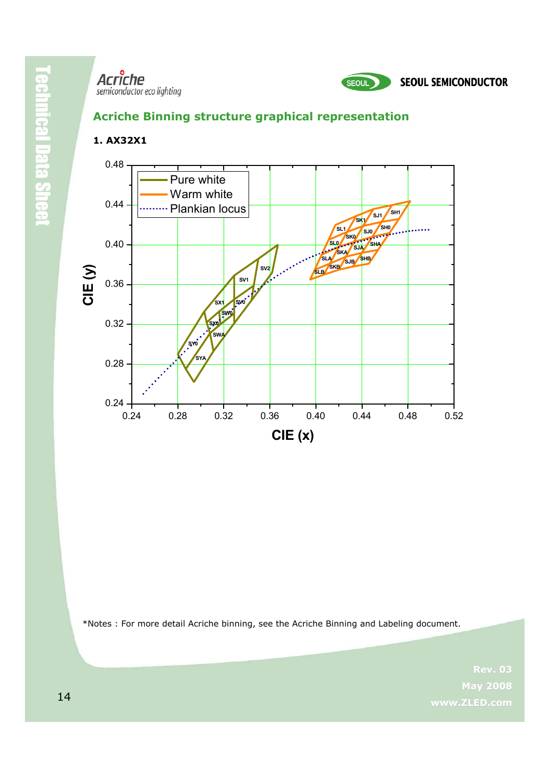**1. AX32X1**



### **Acriche Binning structure graphical representation**

#### 0.24 0.28 0.32 0.36 0.40 0.44 0.48 0.52 0.24 0.28 0.32 0.36 0.40 0.44 0.48 **SHB SHA SJB SKB SLB SJA SH1 SK1 SWA SX1 SYA SY0 SX0 SW0 SV0 SV1 SV2 SL0 SK0 SL1 SLA SKA SJ1 SJ0 SH0 CIE ( y) CIE (x)** Pure white Warm white Plankian locus

\*Notes : For more detail Acriche binning, see the Acriche Binning and Labeling document.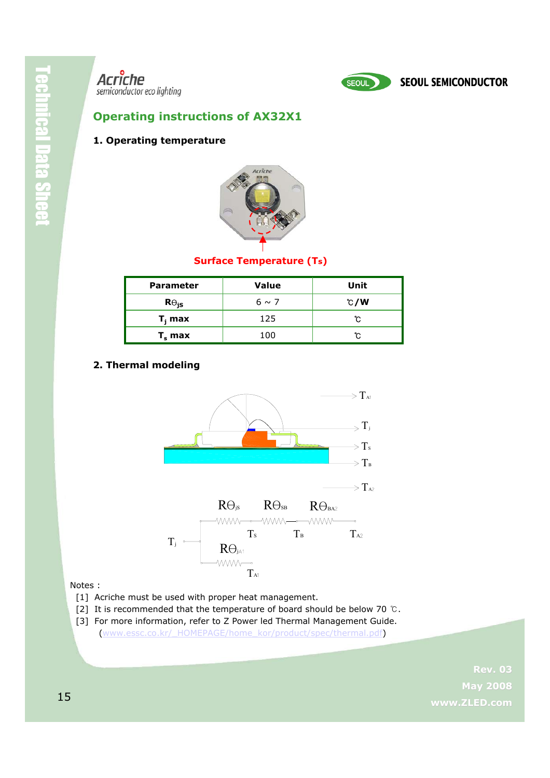

### **Operating instructions of AX32X1**

### **1. Operating temperature**



### **Surface Temperature (Ts)**

| <b>Parameter</b> | <b>Value</b> | Unit |
|------------------|--------------|------|
| $R\Theta_{iS}$   | $6 \sim 7$   | C/W  |
| $T_i$ max        | 125          | ຕ    |
| $T_s$ max        | 100          | r.   |

### **2. Thermal modeling**



#### Notes :

- [1] Acriche must be used with proper heat management.
- [2] It is recommended that the temperature of board should be below 70 ℃.
- [3] For more information, refer to Z Power led Thermal Management Guide. [\(www.essc.co.kr/\\_HOMEPAGE/home\\_kor/product/spec/thermal.pdf\)](http://www.essc.co.kr/_HOMEPAGE/home_kor/product/spec/thermal.pdf)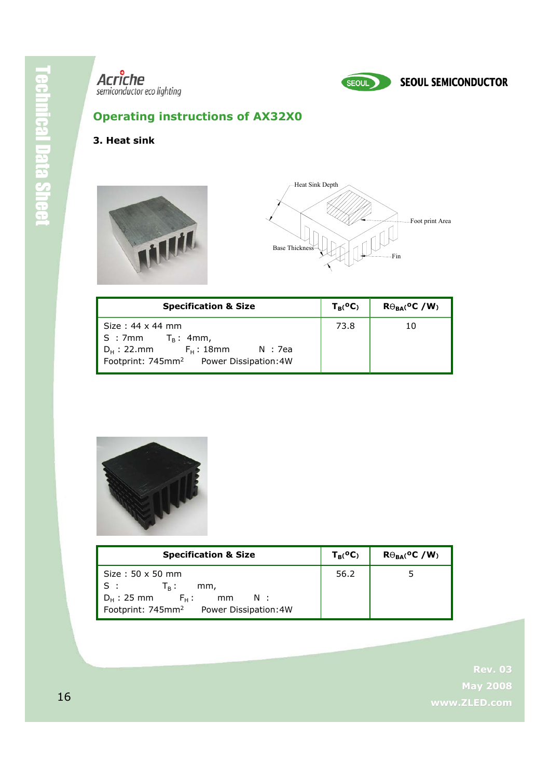

### **Operating instructions of AX32X0**

### **3. Heat sink**





| <b>Specification &amp; Size</b>                                                                                                                            | $T_B({}^oC)$ | $R\Theta_{RA}$ <sup>o</sup> C /W <sub>)</sub> |
|------------------------------------------------------------------------------------------------------------------------------------------------------------|--------------|-----------------------------------------------|
| Size: 44 x 44 mm<br>$\mid S : 7mm$ $\mid T_{B} : 4mm$ ,<br>$D_H$ : 22.mm<br>$F_H$ :18mm<br>– N : 7ea<br>Footprint: 745mm <sup>2</sup> Power Dissipation:4W | 73.8         | 10                                            |



| <b>Specification &amp; Size</b>                                                                                                                                    | $T_{B}(^{\mathbf{0}}\mathbf{C})$ | $R\Theta_{BA}$ <sup>o</sup> C /W <sub>)</sub> |
|--------------------------------------------------------------------------------------------------------------------------------------------------------------------|----------------------------------|-----------------------------------------------|
| Size: $50 \times 50$ mm<br>S:<br>$\mathsf{T}_{\mathsf{R}}$ :<br>mm,<br>$D_{H}$ : 25 mm $F_{H}$ :<br>N:<br>mm<br>Footprint: 745mm <sup>2</sup> Power Dissipation:4W | 56.2                             | 5                                             |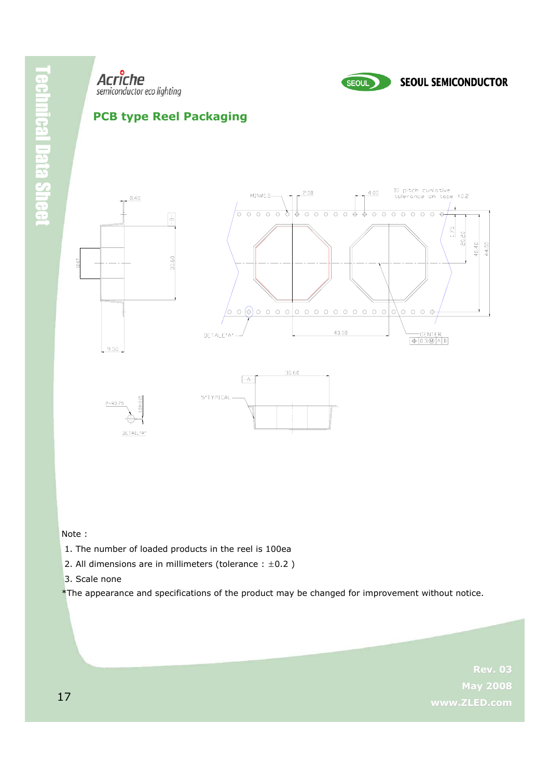







Note :

- 1. The number of loaded products in the reel is 100ea
- 2. All dimensions are in millimeters (tolerance :  $\pm 0.2$ )
- 3. Scale none

\*The appearance and specifications of the product may be changed for improvement without notice.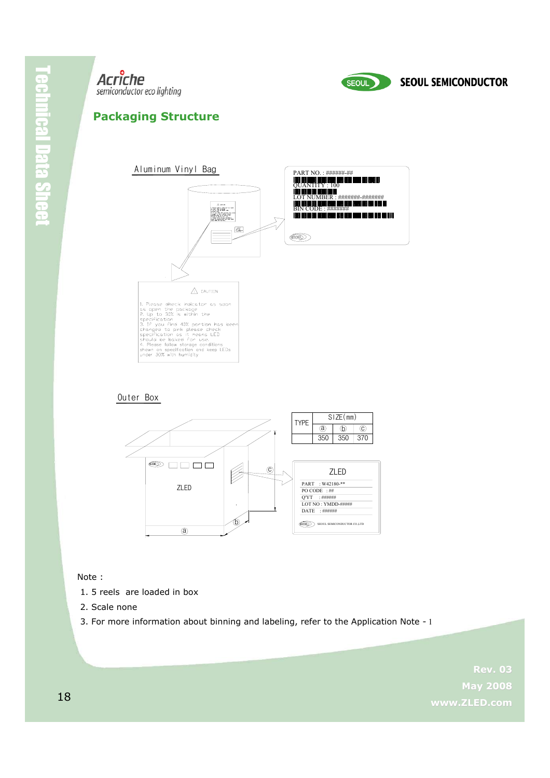



### **Packaging Structure**



#### Outer Box



#### Note :

- 1. 5 reels are loaded in box
- 2. Scale none
- 3. For more information about binning and labeling, refer to the Application Note 1